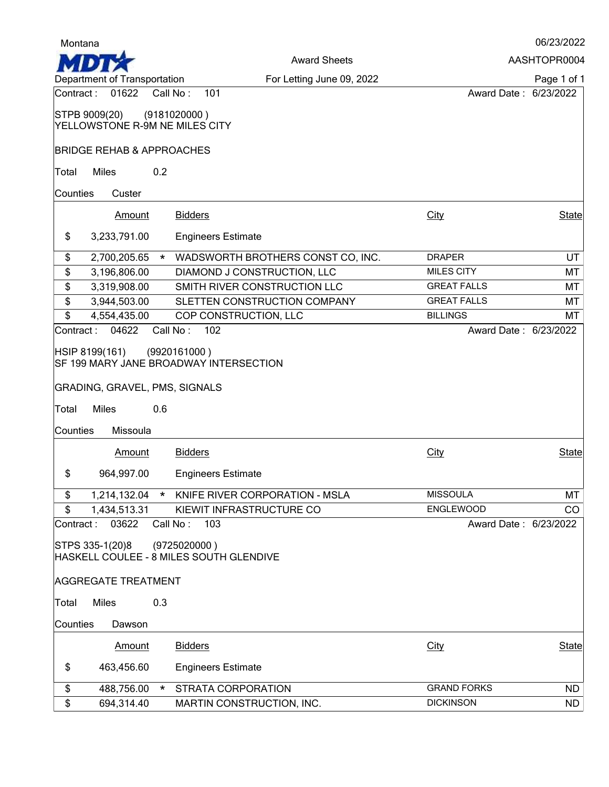| Montana    |                                      |          |                                                        |                       | 06/23/2022             |
|------------|--------------------------------------|----------|--------------------------------------------------------|-----------------------|------------------------|
|            |                                      |          | <b>Award Sheets</b>                                    |                       | AASHTOPR0004           |
|            | Department of Transportation         |          | For Letting June 09, 2022                              |                       | Page 1 of 1            |
| Contract:  | 01622                                | Call No: | 101                                                    | Award Date: 6/23/2022 |                        |
|            | STPB 9009(20)                        |          | (9181020000)                                           |                       |                        |
|            | YELLOWSTONE R-9M NE MILES CITY       |          |                                                        |                       |                        |
|            | <b>BRIDGE REHAB &amp; APPROACHES</b> |          |                                                        |                       |                        |
| Total      | <b>Miles</b>                         | 0.2      |                                                        |                       |                        |
|            |                                      |          |                                                        |                       |                        |
| Counties   | Custer                               |          |                                                        |                       |                        |
|            | <b>Amount</b>                        |          | <b>Bidders</b>                                         | City                  | <b>State</b>           |
| \$         | 3,233,791.00                         |          | <b>Engineers Estimate</b>                              |                       |                        |
| \$         | 2,700,205.65                         | $\star$  | WADSWORTH BROTHERS CONST CO, INC.                      | <b>DRAPER</b>         | <b>UT</b>              |
| \$         | 3,196,806.00                         |          | DIAMOND J CONSTRUCTION, LLC                            | <b>MILES CITY</b>     | МT                     |
| \$         | 3,319,908.00                         |          | SMITH RIVER CONSTRUCTION LLC                           | <b>GREAT FALLS</b>    | MT                     |
| \$         | 3,944,503.00                         |          | SLETTEN CONSTRUCTION COMPANY                           | <b>GREAT FALLS</b>    | МT                     |
| \$         | 4,554,435.00                         |          | COP CONSTRUCTION, LLC                                  | <b>BILLINGS</b>       | МT                     |
| Contract : | 04622                                | Call No: | 102                                                    | Award Date: 6/23/2022 |                        |
|            | HSIP 8199(161)                       |          | (9920161000)                                           |                       |                        |
|            |                                      |          | SF 199 MARY JANE BROADWAY INTERSECTION                 |                       |                        |
|            |                                      |          |                                                        |                       |                        |
|            | GRADING, GRAVEL, PMS, SIGNALS        |          |                                                        |                       |                        |
| Total      | <b>Miles</b>                         | 0.6      |                                                        |                       |                        |
| Counties   | Missoula                             |          |                                                        |                       |                        |
|            | <b>Amount</b>                        |          | <b>Bidders</b>                                         | <b>City</b>           | State                  |
| \$         | 964,997.00                           |          | <b>Engineers Estimate</b>                              |                       |                        |
|            |                                      |          |                                                        |                       |                        |
| \$         |                                      |          | 1,214,132.04 * KNIFE RIVER CORPORATION - MSLA          | <b>MISSOULA</b>       | MT                     |
| \$         | 1,434,513.31                         |          | KIEWIT INFRASTRUCTURE CO                               | ENGLEWOOD             | CO                     |
| Contract:  | 03622                                | Call No: | 103                                                    | Award Date: 6/23/2022 |                        |
|            | STPS 335-1(20)8                      |          | (9725020000)                                           |                       |                        |
|            |                                      |          | HASKELL COULEE - 8 MILES SOUTH GLENDIVE                |                       |                        |
|            | <b>AGGREGATE TREATMENT</b>           |          |                                                        |                       |                        |
| Total      | <b>Miles</b>                         | 0.3      |                                                        |                       |                        |
|            |                                      |          |                                                        |                       |                        |
| Counties   | Dawson                               |          |                                                        |                       |                        |
|            | <b>Amount</b>                        |          | <b>Bidders</b>                                         | City                  | State                  |
| \$         | 463,456.60                           |          | <b>Engineers Estimate</b>                              |                       |                        |
|            |                                      |          |                                                        | <b>GRAND FORKS</b>    |                        |
| \$<br>\$   | 488,756.00<br>694,314.40             | $\star$  | <b>STRATA CORPORATION</b><br>MARTIN CONSTRUCTION, INC. | <b>DICKINSON</b>      | <b>ND</b><br><b>ND</b> |
|            |                                      |          |                                                        |                       |                        |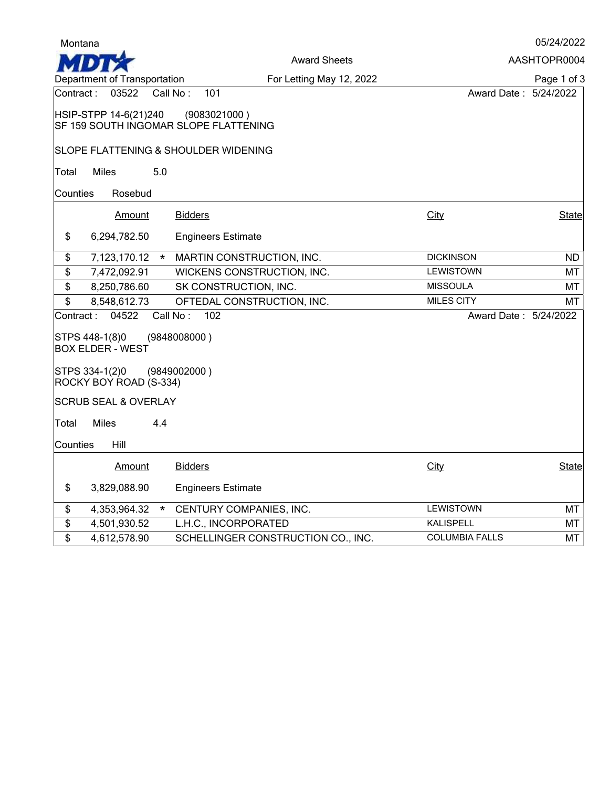| Montana   |                                           |                                                       |                       | 05/24/2022   |
|-----------|-------------------------------------------|-------------------------------------------------------|-----------------------|--------------|
|           | AASHTOPR0004<br><b>Award Sheets</b>       |                                                       |                       |              |
|           | Department of Transportation              | For Letting May 12, 2022                              |                       | Page 1 of 3  |
| Contract: | 03522                                     | Call No:<br>101                                       | Award Date: 5/24/2022 |              |
|           | HSIP-STPP 14-6(21)240                     | (9083021000)<br>SF 159 SOUTH INGOMAR SLOPE FLATTENING |                       |              |
|           |                                           | SLOPE FLATTENING & SHOULDER WIDENING                  |                       |              |
| Total     | <b>Miles</b><br>5.0                       |                                                       |                       |              |
| Counties  | Rosebud                                   |                                                       |                       |              |
|           | Amount                                    | <b>Bidders</b>                                        | City                  | <b>State</b> |
| \$        | 6,294,782.50                              | <b>Engineers Estimate</b>                             |                       |              |
| \$        | 7,123,170.12<br>$\star$                   | MARTIN CONSTRUCTION, INC.                             | <b>DICKINSON</b>      | <b>ND</b>    |
| \$        | 7,472,092.91                              | WICKENS CONSTRUCTION, INC.                            | <b>LEWISTOWN</b>      | МТ           |
| \$        | 8,250,786.60                              | SK CONSTRUCTION, INC.                                 | <b>MISSOULA</b>       | МT           |
| \$        | 8,548,612.73                              | OFTEDAL CONSTRUCTION, INC.                            | <b>MILES CITY</b>     | мт           |
| Contract: | 04522                                     | Call No:<br>102                                       | Award Date: 5/24/2022 |              |
|           | STPS 448-1(8)0<br><b>BOX ELDER - WEST</b> | (9848008000)                                          |                       |              |
|           | STPS 334-1(2)0<br>ROCKY BOY ROAD (S-334)  | (9849002000)                                          |                       |              |
|           | <b>SCRUB SEAL &amp; OVERLAY</b>           |                                                       |                       |              |
| Total     | <b>Miles</b><br>4.4                       |                                                       |                       |              |
| Counties  | Hill                                      |                                                       |                       |              |
|           | <b>Amount</b>                             | <b>Bidders</b>                                        | City                  | <b>State</b> |
| \$        | 3,829,088.90                              | <b>Engineers Estimate</b>                             |                       |              |
| \$        | 4,353,964.32<br>$\star$                   | CENTURY COMPANIES, INC.                               | LEWISTOWN             | MT           |
| \$        | 4,501,930.52                              | L.H.C., INCORPORATED                                  | <b>KALISPELL</b>      | MT           |
| \$        | 4,612,578.90                              | SCHELLINGER CONSTRUCTION CO., INC.                    | <b>COLUMBIA FALLS</b> | <b>MT</b>    |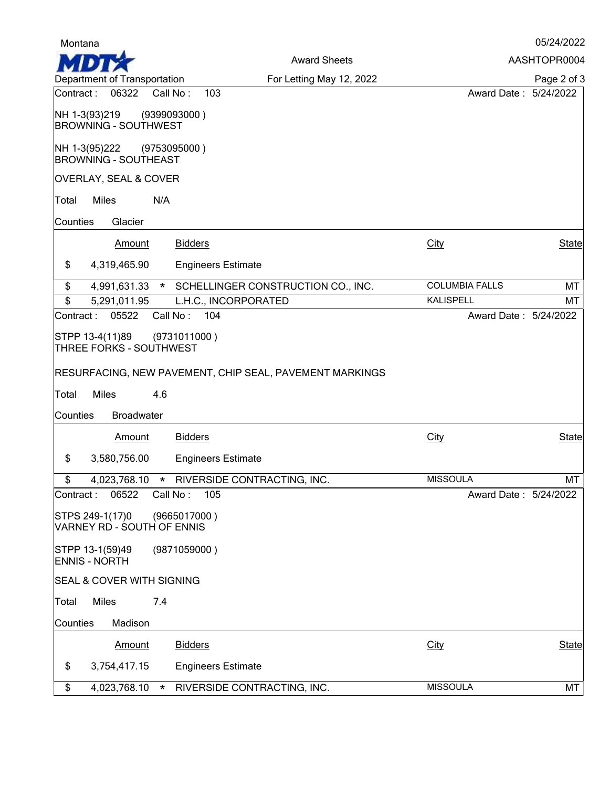| Montana                                       |                                            |                                                         |                       | 05/24/2022   |
|-----------------------------------------------|--------------------------------------------|---------------------------------------------------------|-----------------------|--------------|
|                                               |                                            | <b>Award Sheets</b>                                     |                       | AASHTOPR0004 |
| Department of Transportation                  |                                            | For Letting May 12, 2022                                |                       | Page 2 of 3  |
| Contract:<br>06322                            | Call No:<br>103                            |                                                         | Award Date: 5/24/2022 |              |
| NH 1-3(93)219<br><b>BROWNING - SOUTHWEST</b>  | (9399093000)                               |                                                         |                       |              |
| NH 1-3(95)222<br><b>BROWNING - SOUTHEAST</b>  | (9753095000)                               |                                                         |                       |              |
| OVERLAY, SEAL & COVER                         |                                            |                                                         |                       |              |
| Miles<br>Total                                | N/A                                        |                                                         |                       |              |
| Glacier<br>Counties                           |                                            |                                                         |                       |              |
| <b>Amount</b>                                 | <b>Bidders</b>                             |                                                         | <b>City</b>           | <b>State</b> |
| \$<br>4,319,465.90                            | <b>Engineers Estimate</b>                  |                                                         |                       |              |
| \$<br>4,991,631.33                            | $\star$                                    | SCHELLINGER CONSTRUCTION CO., INC.                      | <b>COLUMBIA FALLS</b> | MT           |
| $\boldsymbol{\hat{z}}$<br>5,291,011.95        | L.H.C., INCORPORATED                       |                                                         | <b>KALISPELL</b>      | МT           |
| 05522<br>Contract:                            | 104<br>Call No:                            |                                                         | Award Date: 5/24/2022 |              |
| STPP 13-4(11)89<br>THREE FORKS - SOUTHWEST    | (9731011000 )                              |                                                         |                       |              |
|                                               |                                            | RESURFACING, NEW PAVEMENT, CHIP SEAL, PAVEMENT MARKINGS |                       |              |
| <b>Miles</b><br>Total                         | 4.6                                        |                                                         |                       |              |
| Counties<br><b>Broadwater</b>                 |                                            |                                                         |                       |              |
|                                               |                                            |                                                         |                       |              |
| Amount                                        | <b>Bidders</b>                             |                                                         | <b>City</b>           | State        |
| \$<br>3,580,756.00                            | <b>Engineers Estimate</b>                  |                                                         |                       |              |
| \$                                            | 4,023,768.10 * RIVERSIDE CONTRACTING, INC. |                                                         | <b>MISSOULA</b>       | MT           |
| 06522<br>Contract:                            | 105<br>Call No:                            |                                                         | Award Date: 5/24/2022 |              |
| STPS 249-1(17)0<br>VARNEY RD - SOUTH OF ENNIS | (9665017000)                               |                                                         |                       |              |
| STPP 13-1(59)49<br><b>ENNIS - NORTH</b>       | (9871059000)                               |                                                         |                       |              |
| SEAL & COVER WITH SIGNING                     |                                            |                                                         |                       |              |
| <b>Miles</b><br>Total                         | 7.4                                        |                                                         |                       |              |
| Counties<br>Madison                           |                                            |                                                         |                       |              |
| Amount                                        | <b>Bidders</b>                             |                                                         | City                  | State        |
| \$<br>3,754,417.15                            | <b>Engineers Estimate</b>                  |                                                         |                       |              |
| \$                                            | 4,023,768.10 * RIVERSIDE CONTRACTING, INC. |                                                         | <b>MISSOULA</b>       | MT           |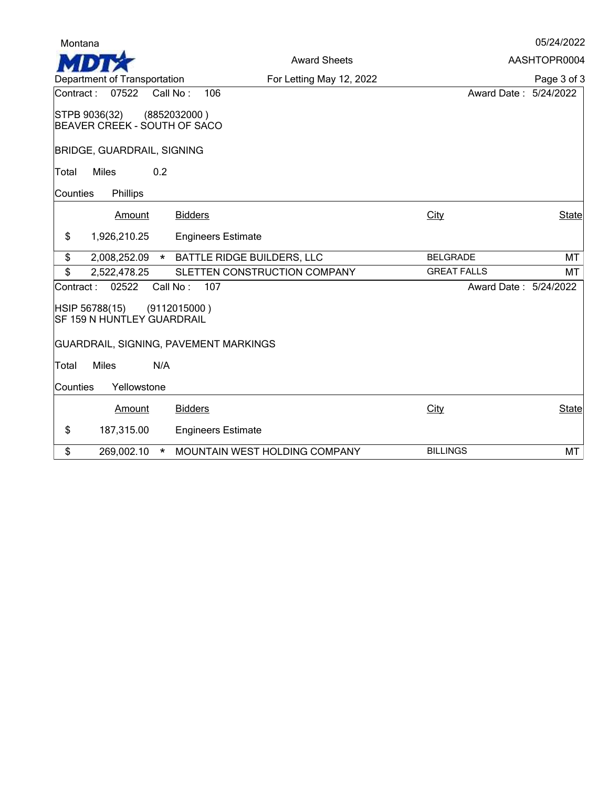| Montana                                                       |                              |                       | 05/24/2022   |
|---------------------------------------------------------------|------------------------------|-----------------------|--------------|
|                                                               | <b>Award Sheets</b>          |                       | AASHTOPR0004 |
| Department of Transportation                                  | For Letting May 12, 2022     |                       | Page 3 of 3  |
| 07522<br>Contract :<br>Call No:                               | 106                          | Award Date: 5/24/2022 |              |
| STPB 9036(32)<br>(8852032000)<br>BEAVER CREEK - SOUTH OF SACO |                              |                       |              |
| <b>BRIDGE, GUARDRAIL, SIGNING</b>                             |                              |                       |              |
| <b>Miles</b><br>0.2<br>Total                                  |                              |                       |              |
| Phillips<br>Counties                                          |                              |                       |              |
| Amount                                                        | <b>Bidders</b>               | City                  | State        |
| \$<br>1,926,210.25                                            | <b>Engineers Estimate</b>    |                       |              |
| \$<br>2,008,252.09                                            | * BATTLE RIDGE BUILDERS, LLC | <b>BELGRADE</b>       | MT           |
| \$<br>2,522,478.25                                            | SLETTEN CONSTRUCTION COMPANY | <b>GREAT FALLS</b>    | MT           |
| 02522<br>Call No:<br>Contract:                                | 107                          | Award Date: 5/24/2022 |              |
| HSIP 56788(15)<br>(9112015000)<br>SF 159 N HUNTLEY GUARDRAIL  |                              |                       |              |
| GUARDRAIL, SIGNING, PAVEMENT MARKINGS                         |                              |                       |              |
| <b>Miles</b><br>N/A<br>Total                                  |                              |                       |              |
| Yellowstone<br>Counties                                       |                              |                       |              |
| Amount                                                        | <b>Bidders</b>               | City                  | State        |
| \$<br>187,315.00                                              |                              |                       |              |
|                                                               | <b>Engineers Estimate</b>    |                       |              |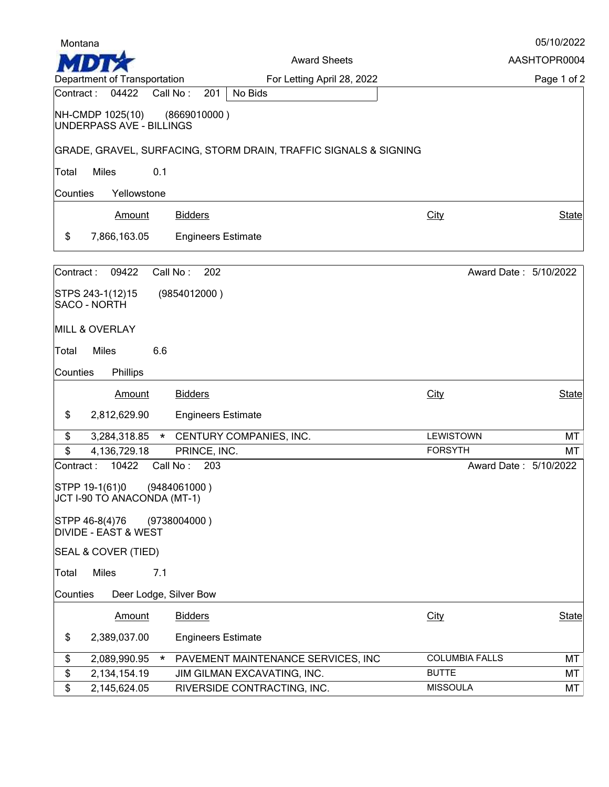| Montana    |                                              |                                                                  |                       | 05/10/2022   |
|------------|----------------------------------------------|------------------------------------------------------------------|-----------------------|--------------|
|            |                                              | <b>Award Sheets</b>                                              |                       | AASHTOPR0004 |
|            | Department of Transportation                 | For Letting April 28, 2022                                       |                       | Page 1 of 2  |
| Contract:  | 04422                                        | No Bids<br>Call No:<br>201                                       |                       |              |
|            | NH-CMDP 1025(10)<br>UNDERPASS AVE - BILLINGS | (8669010000)                                                     |                       |              |
|            |                                              | GRADE, GRAVEL, SURFACING, STORM DRAIN, TRAFFIC SIGNALS & SIGNING |                       |              |
| Total      | <b>Miles</b>                                 | 0.1                                                              |                       |              |
| Counties   | Yellowstone                                  |                                                                  |                       |              |
|            | Amount                                       | <b>Bidders</b>                                                   | City                  | <b>State</b> |
|            |                                              |                                                                  |                       |              |
| \$         | 7,866,163.05                                 | <b>Engineers Estimate</b>                                        |                       |              |
| Contract:  | 09422                                        | Call No:<br>202                                                  | Award Date: 5/10/2022 |              |
|            | STPS 243-1(12)15                             | (9854012000)                                                     |                       |              |
|            | SACO - NORTH                                 |                                                                  |                       |              |
|            | <b>MILL &amp; OVERLAY</b>                    |                                                                  |                       |              |
| Total      | <b>Miles</b>                                 | 6.6                                                              |                       |              |
| Counties   | Phillips                                     |                                                                  |                       |              |
|            | Amount                                       | <b>Bidders</b>                                                   | City                  | <b>State</b> |
| \$         | 2,812,629.90                                 | <b>Engineers Estimate</b>                                        |                       |              |
|            |                                              |                                                                  | <b>LEWISTOWN</b>      |              |
| \$<br>\$   | 3,284,318.85<br>4,136,729.18                 | CENTURY COMPANIES, INC.<br>$\star$<br>PRINCE, INC.               | <b>FORSYTH</b>        | MT<br>МT     |
| Contract : | 10422                                        | Call No:<br>203                                                  | Award Date: 5/10/2022 |              |
|            | STPP 19-1(61)0                               | (9484061000)                                                     |                       |              |
|            | JCT I-90 TO ANACONDA (MT-1)                  |                                                                  |                       |              |
|            | STPP 46-8(4)76                               | (9738004000)                                                     |                       |              |
|            | <b>DIVIDE - EAST &amp; WEST</b>              |                                                                  |                       |              |
|            | SEAL & COVER (TIED)                          |                                                                  |                       |              |
| Total      | <b>Miles</b>                                 | 7.1                                                              |                       |              |
| Counties   |                                              | Deer Lodge, Silver Bow                                           |                       |              |
|            | Amount                                       | <b>Bidders</b>                                                   | <b>City</b>           | State        |
| \$         | 2,389,037.00                                 | <b>Engineers Estimate</b>                                        |                       |              |
| \$         | 2,089,990.95                                 | PAVEMENT MAINTENANCE SERVICES, INC<br>$\ast$                     | <b>COLUMBIA FALLS</b> | MT           |
| \$         | 2,134,154.19                                 | JIM GILMAN EXCAVATING, INC.                                      | <b>BUTTE</b>          | МT           |
| \$         | 2,145,624.05                                 | RIVERSIDE CONTRACTING, INC.                                      | <b>MISSOULA</b>       | MT           |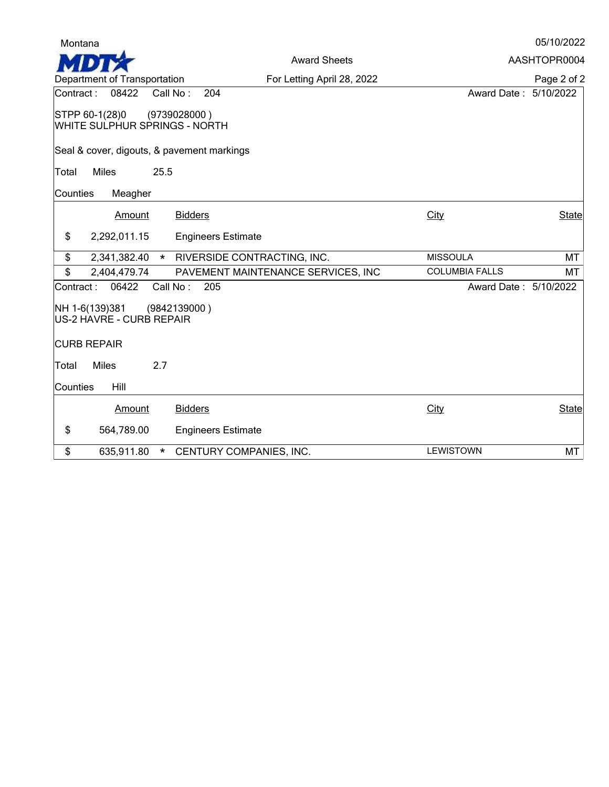|  | 05/10/2022 |  |  |
|--|------------|--|--|
|--|------------|--|--|

Award Sheets AASHTOPR0004 n Department of Transportation For Letting April 28, 2022Page 2 of 2 Contract : 08422 Call No : 204 Award Date : 5/10/2022 STPP 60-1(28)0 (9739028000 ) WHITE SULPHUR SPRINGS - NORTH Seal & cover, digouts, & pavement markings Total Miles 25.5 Counties Meagher Amount Bidders State City City State \$ 2,292,011.15 Engineers Estimate \$ 2,341,382.40 \* RIVERSIDE CONTRACTING, INC. MISSOULA MISSOULA MT<br>\$ 2,404,479.74 PAVEMENT MAINTENANCE SERVICES, INC COLUMBIA FALLS MT PAVEMENT MAINTENANCE SERVICES, INC Contract : 06422 Call No : 205 Award Date : 5/10/2022 NH 1-6(139)381 (9842139000 ) US-2 HAVRE - CURB REPAIR CURB REPAIR Total Miles 2.7 Counties Hill Amount Bidders State City City State \$ 564,789.00 Engineers Estimate \$ 635,911.80 \* CENTURY COMPANIES, INC. LEWISTOWN LEWISTOWN MT

Montana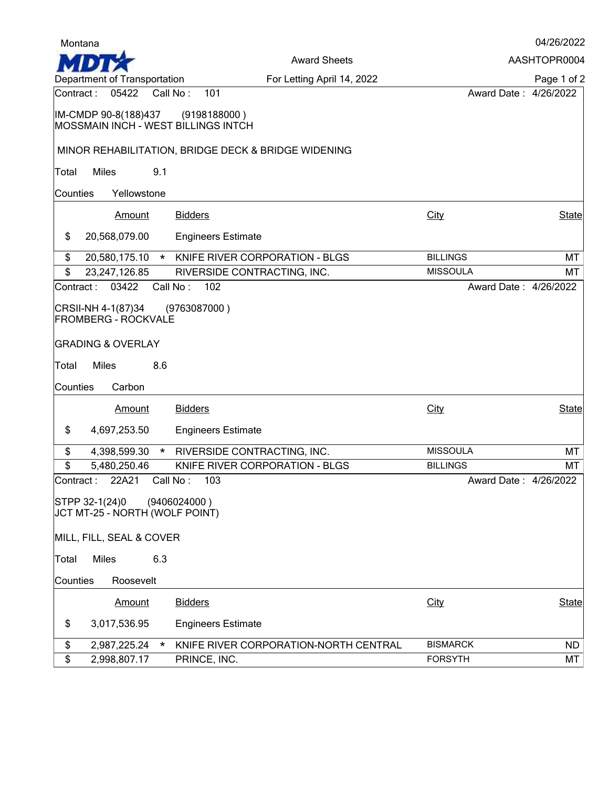| Montana                                                     |                                                     |                       | 04/26/2022   |
|-------------------------------------------------------------|-----------------------------------------------------|-----------------------|--------------|
|                                                             | <b>Award Sheets</b>                                 |                       | AASHTOPR0004 |
| Department of Transportation                                | For Letting April 14, 2022                          |                       | Page 1 of 2  |
| Contract: 05422                                             | Call No:<br>101                                     | Award Date: 4/26/2022 |              |
| IM-CMDP 90-8(188)437<br>MOSSMAIN INCH - WEST BILLINGS INTCH | (9198188000)                                        |                       |              |
|                                                             | MINOR REHABILITATION, BRIDGE DECK & BRIDGE WIDENING |                       |              |
| <b>Miles</b><br>9.1<br>Total                                |                                                     |                       |              |
| Yellowstone<br>Counties                                     |                                                     |                       |              |
| Amount                                                      | <b>Bidders</b>                                      | <b>City</b>           | State        |
| \$<br>20,568,079.00                                         | <b>Engineers Estimate</b>                           |                       |              |
| \$<br>20,580,175.10<br>$\star$                              | KNIFE RIVER CORPORATION - BLGS                      | <b>BILLINGS</b>       | MT           |
| \$<br>23,247,126.85                                         | RIVERSIDE CONTRACTING, INC.                         | <b>MISSOULA</b>       | МT           |
| 03422<br>Contract:                                          | Call No:<br>102                                     | Award Date: 4/26/2022 |              |
| CRSII-NH 4-1(87)34<br><b>FROMBERG - ROCKVALE</b>            | (9763087000)                                        |                       |              |
| <b>GRADING &amp; OVERLAY</b>                                |                                                     |                       |              |
| <b>Miles</b><br>8.6<br>Total                                |                                                     |                       |              |
| Carbon<br>Counties                                          |                                                     |                       |              |
| Amount                                                      | <b>Bidders</b>                                      | City                  | <b>State</b> |
| \$<br>4,697,253.50                                          | <b>Engineers Estimate</b>                           |                       |              |
| \$<br>4,398,599.30<br>$\star$                               | RIVERSIDE CONTRACTING, INC.                         | <b>MISSOULA</b>       | MT           |
| \$<br>5,480,250.46                                          | KNIFE RIVER CORPORATION - BLGS                      | <b>BILLINGS</b>       | MT           |
| Contract: 22A21 Call No: 103                                |                                                     | Award Date: 4/26/2022 |              |
| STPP 32-1(24)0                                              | (9406024000)                                        |                       |              |
| JCT MT-25 - NORTH (WOLF POINT)                              |                                                     |                       |              |
| MILL, FILL, SEAL & COVER                                    |                                                     |                       |              |
| Miles<br>6.3<br>Total                                       |                                                     |                       |              |
| Counties<br>Roosevelt                                       |                                                     |                       |              |
| Amount                                                      | <b>Bidders</b>                                      | City                  | State        |
| \$<br>3,017,536.95                                          | <b>Engineers Estimate</b>                           |                       |              |
| \$<br>2,987,225.24<br>$\ast$                                | KNIFE RIVER CORPORATION-NORTH CENTRAL               | <b>BISMARCK</b>       | ND.          |
| \$<br>2,998,807.17                                          | PRINCE, INC.                                        | <b>FORSYTH</b>        | МT           |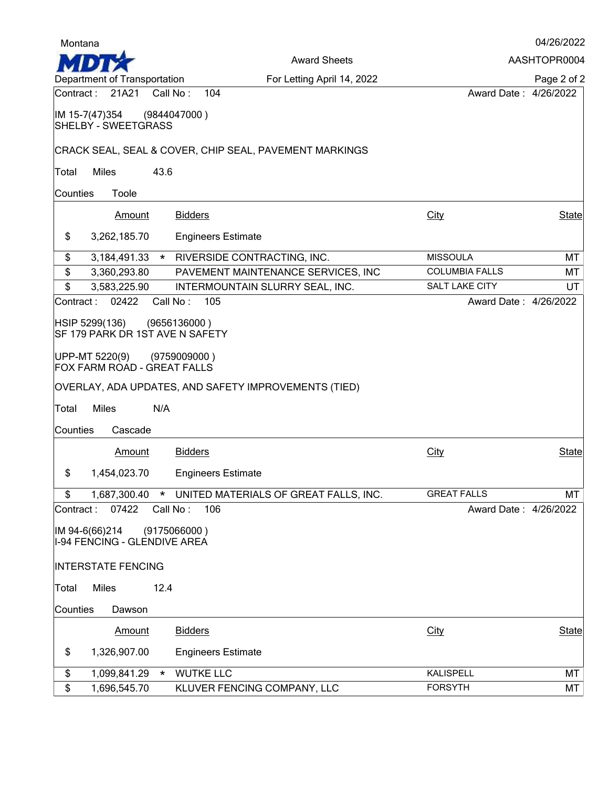| Montana                                           | 04/26/2022    |                                                        |                       |              |
|---------------------------------------------------|---------------|--------------------------------------------------------|-----------------------|--------------|
|                                                   |               | <b>Award Sheets</b>                                    |                       | AASHTOPR0004 |
| Department of Transportation                      |               | For Letting April 14, 2022                             |                       | Page 2 of 2  |
| Contract: 21A21                                   |               | 104<br>Call No:                                        | Award Date: 4/26/2022 |              |
| IM 15-7(47)354<br><b>SHELBY - SWEETGRASS</b>      |               | (9844047000)                                           |                       |              |
|                                                   |               | CRACK SEAL, SEAL & COVER, CHIP SEAL, PAVEMENT MARKINGS |                       |              |
| <b>Miles</b><br>Total                             | 43.6          |                                                        |                       |              |
| Counties                                          | Toole         |                                                        |                       |              |
|                                                   |               |                                                        |                       |              |
|                                                   | Amount        | <b>Bidders</b>                                         | <b>City</b>           | <b>State</b> |
| \$<br>3,262,185.70                                |               | <b>Engineers Estimate</b>                              |                       |              |
| \$                                                |               | 3,184,491.33 * RIVERSIDE CONTRACTING, INC.             | <b>MISSOULA</b>       | MT           |
| \$<br>3,360,293.80                                |               | PAVEMENT MAINTENANCE SERVICES, INC                     | <b>COLUMBIA FALLS</b> | MT           |
| \$<br>3,583,225.90                                |               | INTERMOUNTAIN SLURRY SEAL, INC.                        | <b>SALT LAKE CITY</b> | UT           |
| Contract :                                        | 02422         | Call No:<br>105                                        | Award Date: 4/26/2022 |              |
| HSIP 5299(136)<br>SF 179 PARK DR 1ST AVE N SAFETY |               | (9656136000)                                           |                       |              |
| UPP-MT 5220(9)<br>FOX FARM ROAD - GREAT FALLS     |               | (9759009000)                                           |                       |              |
|                                                   |               | OVERLAY, ADA UPDATES, AND SAFETY IMPROVEMENTS (TIED)   |                       |              |
| <b>Miles</b><br>Total                             | N/A           |                                                        |                       |              |
| Counties                                          | Cascade       |                                                        |                       |              |
|                                                   | <b>Amount</b> | <b>Bidders</b>                                         | City                  | <b>State</b> |
| \$<br>1,454,023.70                                |               | <b>Engineers Estimate</b>                              |                       |              |
| \$                                                |               | 1,687,300.40 * UNITED MATERIALS OF GREAT FALLS, INC.   | <b>GREAT FALLS</b>    | <b>MT</b>    |
| Contract:                                         | 07422         | Call No:<br>106                                        | Award Date: 4/26/2022 |              |
| IM 94-6(66)214<br>1-94 FENCING - GLENDIVE AREA    |               | (9175066000)                                           |                       |              |
| <b>INTERSTATE FENCING</b>                         |               |                                                        |                       |              |
| <b>Miles</b><br>Total                             | 12.4          |                                                        |                       |              |
| Counties                                          | Dawson        |                                                        |                       |              |
|                                                   | <b>Amount</b> | <b>Bidders</b>                                         | City                  | <b>State</b> |
| \$<br>1,326,907.00                                |               | <b>Engineers Estimate</b>                              |                       |              |
| \$<br>1,099,841.29                                | $\star$       | <b>WUTKE LLC</b>                                       | <b>KALISPELL</b>      | MT           |
| \$<br>1,696,545.70                                |               | KLUVER FENCING COMPANY, LLC                            | <b>FORSYTH</b>        | MT           |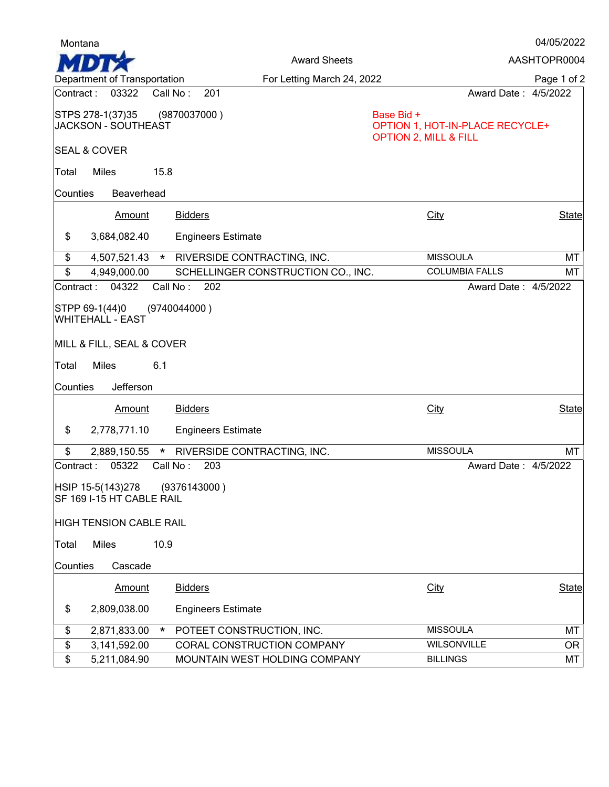| Montana                                                         |                                            |                                                                                   | 04/05/2022   |
|-----------------------------------------------------------------|--------------------------------------------|-----------------------------------------------------------------------------------|--------------|
|                                                                 | <b>Award Sheets</b>                        |                                                                                   | AASHTOPR0004 |
| Department of Transportation                                    | For Letting March 24, 2022                 |                                                                                   | Page 1 of 2  |
| 03322<br>Contract :                                             | Call No:<br>201                            | Award Date: 4/5/2022                                                              |              |
| STPS 278-1(37)35<br><b>JACKSON - SOUTHEAST</b>                  | (9870037000)                               | Base Bid +<br>OPTION 1, HOT-IN-PLACE RECYCLE+<br><b>OPTION 2, MILL &amp; FILL</b> |              |
| <b>SEAL &amp; COVER</b>                                         |                                            |                                                                                   |              |
| <b>Miles</b><br>Total                                           | 15.8                                       |                                                                                   |              |
| Counties                                                        | Beaverhead                                 |                                                                                   |              |
| Amount                                                          | <b>Bidders</b>                             | City                                                                              | <b>State</b> |
| \$<br>3,684,082.40                                              | <b>Engineers Estimate</b>                  |                                                                                   |              |
| \$                                                              | 4,507,521.43 * RIVERSIDE CONTRACTING, INC. | <b>MISSOULA</b>                                                                   | MT           |
| \$<br>4,949,000.00                                              | SCHELLINGER CONSTRUCTION CO., INC.         | <b>COLUMBIA FALLS</b>                                                             | МT           |
| 04322<br>Contract:                                              | Call No:<br>202                            | Award Date: 4/5/2022                                                              |              |
| STPP 69-1(44)0<br>WHITEHALL - EAST<br>MILL & FILL, SEAL & COVER | (9740044000)                               |                                                                                   |              |
|                                                                 |                                            |                                                                                   |              |
| <b>Miles</b><br>Total                                           | 6.1                                        |                                                                                   |              |
| Jefferson<br>Counties                                           |                                            |                                                                                   |              |
| Amount                                                          | <b>Bidders</b>                             | City                                                                              | <b>State</b> |
| \$<br>2,778,771.10                                              | <b>Engineers Estimate</b>                  |                                                                                   |              |
| \$<br>2,889,150.55                                              | RIVERSIDE CONTRACTING, INC.<br>$\star$     | <b>MISSOULA</b>                                                                   | MT           |
| 05322<br>Contract:                                              | Call No:<br>203                            | Award Date: 4/5/2022                                                              |              |
| HSIP 15-5(143)278<br>SF 169 I-15 HT CABLE RAIL                  | (9376143000)                               |                                                                                   |              |
| <b>HIGH TENSION CABLE RAIL</b>                                  |                                            |                                                                                   |              |
| <b>Miles</b><br>Total                                           | 10.9                                       |                                                                                   |              |
| Cascade<br>Counties                                             |                                            |                                                                                   |              |
| Amount                                                          | <b>Bidders</b>                             | City                                                                              | <b>State</b> |
| \$<br>2,809,038.00                                              | <b>Engineers Estimate</b>                  |                                                                                   |              |
| \$<br>2,871,833.00                                              | POTEET CONSTRUCTION, INC.<br>$\star$       | <b>MISSOULA</b>                                                                   | MT           |
| \$<br>3,141,592.00                                              | CORAL CONSTRUCTION COMPANY                 | <b>WILSONVILLE</b>                                                                | OR.          |
| \$<br>5,211,084.90                                              | MOUNTAIN WEST HOLDING COMPANY              | <b>BILLINGS</b>                                                                   | МT           |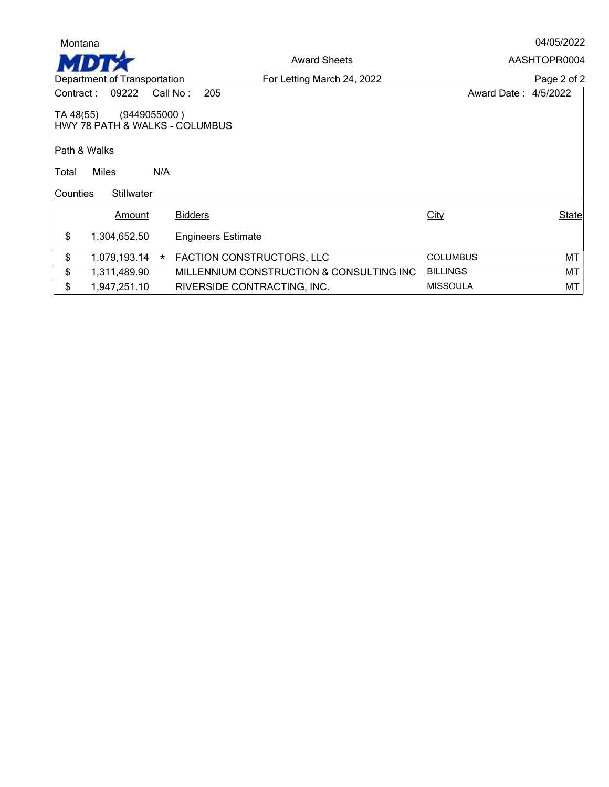| Montana                   |                              |         |                                |                                          |                      | 04/05/2022   |
|---------------------------|------------------------------|---------|--------------------------------|------------------------------------------|----------------------|--------------|
|                           |                              |         |                                | <b>Award Sheets</b>                      |                      | AASHTOPR0004 |
|                           | Department of Transportation |         |                                | For Letting March 24, 2022               |                      | Page 2 of 2  |
| Contract:                 | 09222                        |         | 205<br>Call No:                |                                          | Award Date: 4/5/2022 |              |
| TA 48(55)<br>Path & Walks | (9449055000)                 |         | HWY 78 PATH & WALKS - COLUMBUS |                                          |                      |              |
| Total                     | <b>Miles</b>                 | N/A     |                                |                                          |                      |              |
| lCounties                 | <b>Stillwater</b>            |         |                                |                                          |                      |              |
|                           | Amount                       |         | <b>Bidders</b>                 |                                          | City                 | State        |
| \$                        | 1,304,652.50                 |         | <b>Engineers Estimate</b>      |                                          |                      |              |
| \$                        | 1,079,193.14                 | $\star$ | FACTION CONSTRUCTORS, LLC      |                                          | <b>COLUMBUS</b>      | MT           |
| \$                        | 1,311,489.90                 |         |                                | MILLENNIUM CONSTRUCTION & CONSULTING INC | <b>BILLINGS</b>      | MT           |
| \$                        | 1,947,251.10                 |         | RIVERSIDE CONTRACTING, INC.    |                                          | <b>MISSOULA</b>      | МT           |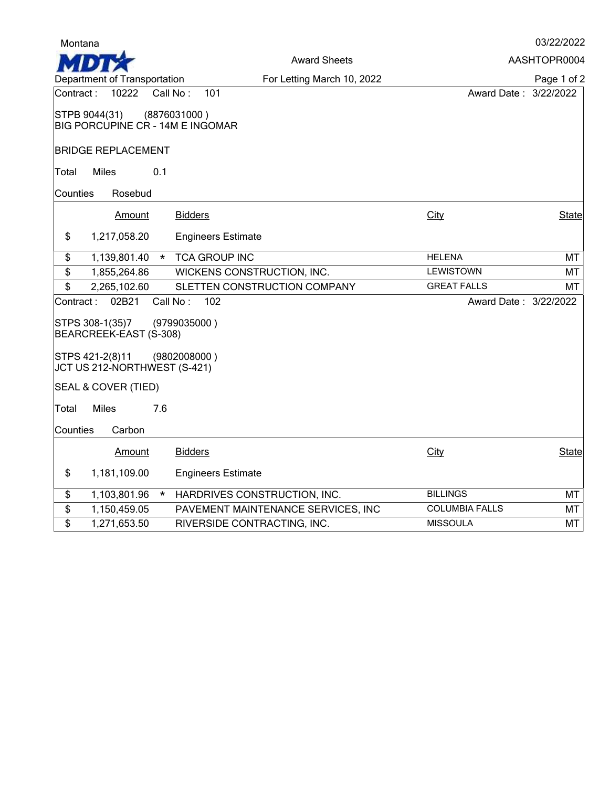| Montana                                                           |                                    |                       | 03/22/2022   |
|-------------------------------------------------------------------|------------------------------------|-----------------------|--------------|
|                                                                   | <b>Award Sheets</b>                |                       | AASHTOPR0004 |
| Department of Transportation                                      | For Letting March 10, 2022         |                       | Page 1 of 2  |
| Contract:<br>10222<br>Call No:                                    | 101                                | Award Date: 3/22/2022 |              |
| STPB 9044(31)<br>(8876031000)<br>BIG PORCUPINE CR - 14M E INGOMAR |                                    |                       |              |
| <b>BRIDGE REPLACEMENT</b>                                         |                                    |                       |              |
| Miles<br>0.1<br>Total                                             |                                    |                       |              |
| Counties<br>Rosebud                                               |                                    |                       |              |
| <b>Bidders</b><br>Amount                                          |                                    | City                  | State        |
| \$<br>1,217,058.20                                                | <b>Engineers Estimate</b>          |                       |              |
| \$<br>1,139,801.40<br>$\star$                                     | <b>TCA GROUP INC</b>               | <b>HELENA</b>         | MT           |
| $\boldsymbol{\hat{z}}$<br>1,855,264.86                            | WICKENS CONSTRUCTION, INC.         | <b>LEWISTOWN</b>      | MT           |
| \$<br>2,265,102.60                                                | SLETTEN CONSTRUCTION COMPANY       | <b>GREAT FALLS</b>    | МT           |
| 02B21<br>Call No:<br>Contract:                                    | 102                                | Award Date: 3/22/2022 |              |
| STPS 308-1(35)7<br>(9799035000)<br>BEARCREEK-EAST (S-308)         |                                    |                       |              |
| STPS 421-2(8)11<br>(9802008000)<br>JCT US 212-NORTHWEST (S-421)   |                                    |                       |              |
| SEAL & COVER (TIED)                                               |                                    |                       |              |
| <b>Miles</b><br>7.6<br>Total                                      |                                    |                       |              |
| Counties<br>Carbon                                                |                                    |                       |              |
| <b>Bidders</b><br>Amount                                          |                                    | <b>City</b>           | State        |
| \$<br>1,181,109.00                                                | <b>Engineers Estimate</b>          |                       |              |
| \$<br>1,103,801.96<br>$\star$                                     | HARDRIVES CONSTRUCTION, INC.       | <b>BILLINGS</b>       | MT           |
| \$<br>1,150,459.05                                                | PAVEMENT MAINTENANCE SERVICES, INC | <b>COLUMBIA FALLS</b> | MT           |
| \$<br>1,271,653.50                                                | RIVERSIDE CONTRACTING, INC.        | <b>MISSOULA</b>       | MT           |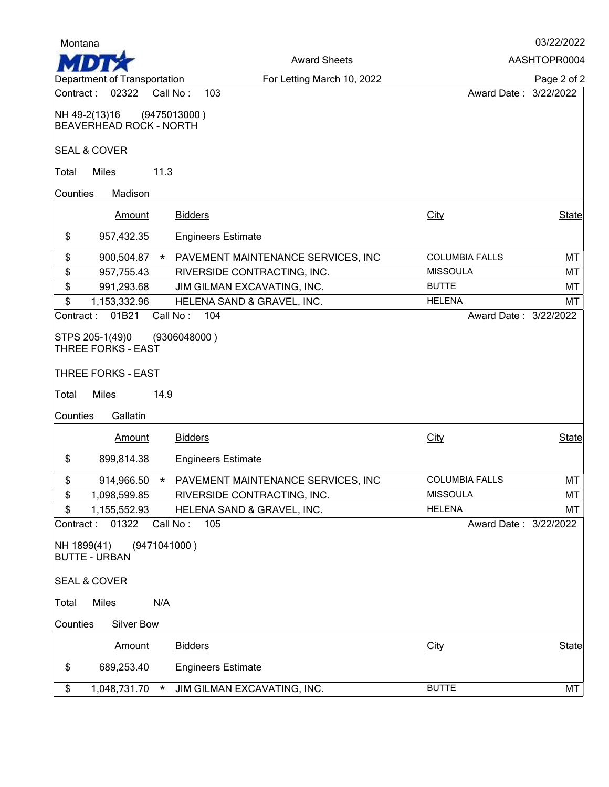| Montana                              |                                                                    |                                    |                       | 03/22/2022   |
|--------------------------------------|--------------------------------------------------------------------|------------------------------------|-----------------------|--------------|
|                                      |                                                                    | <b>Award Sheets</b>                |                       | AASHTOPR0004 |
|                                      | Department of Transportation                                       | For Letting March 10, 2022         |                       | Page 2 of 2  |
| Contract:                            | 02322                                                              | 103<br>Call No:                    | Award Date: 3/22/2022 |              |
|                                      | NH 49-2(13)16<br><b>BEAVERHEAD ROCK - NORTH</b>                    | (9475013000)                       |                       |              |
|                                      | <b>SEAL &amp; COVER</b>                                            |                                    |                       |              |
| Total                                | <b>Miles</b><br>11.3                                               |                                    |                       |              |
| Counties                             | Madison                                                            |                                    |                       |              |
|                                      | Amount                                                             | <b>Bidders</b>                     | City                  | <b>State</b> |
| \$                                   | 957,432.35                                                         | <b>Engineers Estimate</b>          |                       |              |
| \$                                   | 900,504.87<br>$\star$                                              | PAVEMENT MAINTENANCE SERVICES, INC | <b>COLUMBIA FALLS</b> | MT           |
| $\overline{\boldsymbol{\mathsf{S}}}$ | 957,755.43                                                         | RIVERSIDE CONTRACTING, INC.        | <b>MISSOULA</b>       | MT           |
| \$                                   | 991,293.68                                                         | JIM GILMAN EXCAVATING, INC.        | <b>BUTTE</b>          | MT           |
| \$                                   | 1,153,332.96                                                       | HELENA SAND & GRAVEL, INC.         | <b>HELENA</b>         | MT           |
|                                      | STPS 205-1(49)0<br><b>THREE FORKS - EAST</b><br>THREE FORKS - EAST | (9306048000)                       |                       |              |
| Total                                | <b>Miles</b><br>14.9                                               |                                    |                       |              |
| Counties                             | Gallatin                                                           |                                    |                       |              |
|                                      | <b>Amount</b>                                                      | <b>Bidders</b>                     | <b>City</b>           | <b>State</b> |
| \$                                   | 899,814.38                                                         | <b>Engineers Estimate</b>          |                       |              |
| \$                                   | 914,966.50<br>*                                                    | PAVEMENT MAINTENANCE SERVICES, INC | <b>COLUMBIA FALLS</b> | <b>MT</b>    |
| \$                                   | 1,098,599.85                                                       | RIVERSIDE CONTRACTING, INC.        | <b>MISSOULA</b>       | MT           |
| \$                                   | 1,155,552.93                                                       | HELENA SAND & GRAVEL, INC.         | <b>HELENA</b>         | MT           |
| Contract:                            | 01322                                                              | Call No:<br>105                    | Award Date: 3/22/2022 |              |
|                                      | (9471041000)<br>NH 1899(41)<br><b>BUTTE - URBAN</b>                |                                    |                       |              |
|                                      | <b>SEAL &amp; COVER</b>                                            |                                    |                       |              |
| Total                                | Miles<br>N/A                                                       |                                    |                       |              |
| Counties                             | Silver Bow                                                         |                                    |                       |              |
|                                      | Amount                                                             | <b>Bidders</b>                     | <b>City</b>           | State        |
| \$                                   | 689,253.40                                                         | <b>Engineers Estimate</b>          |                       |              |
| \$                                   | 1,048,731.70<br>$\ast$                                             | JIM GILMAN EXCAVATING, INC.        | <b>BUTTE</b>          | МT           |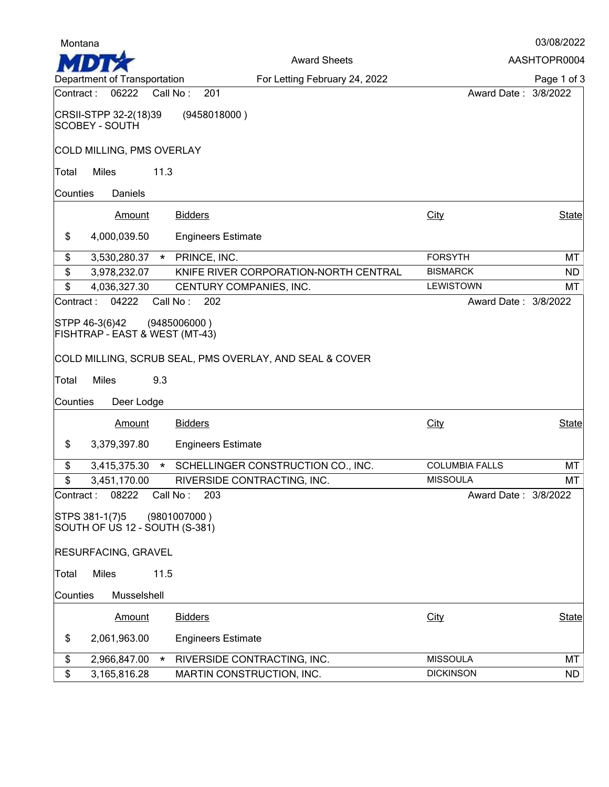| Montana                                          |          |                                                         |                       | 03/08/2022   |
|--------------------------------------------------|----------|---------------------------------------------------------|-----------------------|--------------|
|                                                  |          | <b>Award Sheets</b>                                     |                       | AASHTOPR0004 |
| Department of Transportation                     |          | For Letting February 24, 2022                           |                       | Page 1 of 3  |
| 06222<br>Contract :                              |          | Call No:<br>201                                         | Award Date: 3/8/2022  |              |
| CRSII-STPP 32-2(18)39<br>SCOBEY - SOUTH          |          | (9458018000)                                            |                       |              |
| COLD MILLING, PMS OVERLAY                        |          |                                                         |                       |              |
| <b>Miles</b><br>Total                            | 11.3     |                                                         |                       |              |
| Daniels<br>Counties                              |          |                                                         |                       |              |
| Amount                                           |          | <b>Bidders</b>                                          | City                  | <b>State</b> |
| \$<br>4,000,039.50                               |          | <b>Engineers Estimate</b>                               |                       |              |
| \$<br>3,530,280.37                               |          | * PRINCE, INC.                                          | <b>FORSYTH</b>        | МT           |
| \$<br>3,978,232.07                               |          | KNIFE RIVER CORPORATION-NORTH CENTRAL                   | <b>BISMARCK</b>       | <b>ND</b>    |
| \$<br>4,036,327.30                               |          | CENTURY COMPANIES, INC.                                 | <b>LEWISTOWN</b>      | МT           |
| 04222<br>Contract:                               |          | Call No:<br>202                                         | Award Date: 3/8/2022  |              |
| FISHTRAP - EAST & WEST (MT-43)<br>Miles<br>Total | 9.3      | COLD MILLING, SCRUB SEAL, PMS OVERLAY, AND SEAL & COVER |                       |              |
| Counties<br>Deer Lodge                           |          |                                                         |                       |              |
| Amount                                           |          | <b>Bidders</b>                                          | City                  | <b>State</b> |
| \$<br>3,379,397.80                               |          | <b>Engineers Estimate</b>                               |                       |              |
| \$<br>3,415,375.30                               | $\star$  | SCHELLINGER CONSTRUCTION CO., INC.                      | <b>COLUMBIA FALLS</b> | MT           |
| \$<br>3,451,170.00                               |          | RIVERSIDE CONTRACTING, INC.                             | <b>MISSOULA</b>       | MT           |
| 08222<br>Contract:                               | Call No: | 203                                                     | Award Date: 3/8/2022  |              |
| STPS 381-1(7)5<br>SOUTH OF US 12 - SOUTH (S-381) |          | (9801007000)                                            |                       |              |
| <b>RESURFACING, GRAVEL</b>                       |          |                                                         |                       |              |
| <b>Miles</b><br>Total                            | 11.5     |                                                         |                       |              |
| Musselshell<br>Counties                          |          |                                                         |                       |              |
| <b>Amount</b>                                    |          | <b>Bidders</b>                                          | <b>City</b>           | State        |
| \$<br>2,061,963.00                               |          | <b>Engineers Estimate</b>                               |                       |              |
| \$<br>2,966,847.00                               | $\star$  | RIVERSIDE CONTRACTING, INC.                             | <b>MISSOULA</b>       | MT           |
| \$<br>3,165,816.28                               |          | MARTIN CONSTRUCTION, INC.                               | <b>DICKINSON</b>      | ND.          |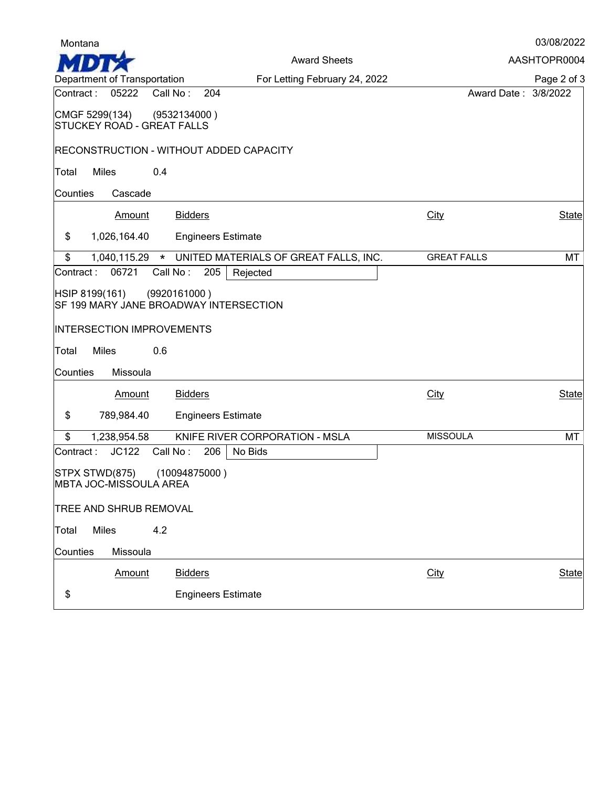| 03/08/2022 |  |  |  |
|------------|--|--|--|
|------------|--|--|--|

Award Sheets AASHTOPR0004  $\mathbf{H}$ Department of Transportation For Letting February 24, 2022Page 2 of 3 Contract : 05222 Call No : 204 Award Date : 3/8/2022 CMGF 5299(134) (9532134000 ) STUCKEY ROAD - GREAT FALLS RECONSTRUCTION - WITHOUT ADDED CAPACITY Total Miles 0.4 Counties Cascade Amount Bidders State City City State \$ 1,026,164.40 Engineers Estimate \$ 1,040,115.29 \* UNITED MATERIALS OF GREAT FALLS, INC. GREAT FALLS MT<br>
ontract: 06721 Call No: 205 Rejected Contract:  $06721$  Call No:  $205$ HSIP 8199(161) (9920161000 ) SF 199 MARY JANE BROADWAY INTERSECTION INTERSECTION IMPROVEMENTS Total Miles 0.6 Counties Missoula Amount Bidders State City City State \$ 789,984.40 Engineers Estimate \$ 1,238,954.58 KNIFE RIVER CORPORATION - MSLA MISSOULA MISSOULA Contract :  $JC122$  Call No : 206 No Bids STPX STWD(875) (10094875000 ) MBTA JOC-MISSOULA AREA TREE AND SHRUB REMOVAL Total Miles 4.2 Counties Missoula Amount Bidders State City State State State State State State State State State State State State State State \$ Engineers Estimate

Montana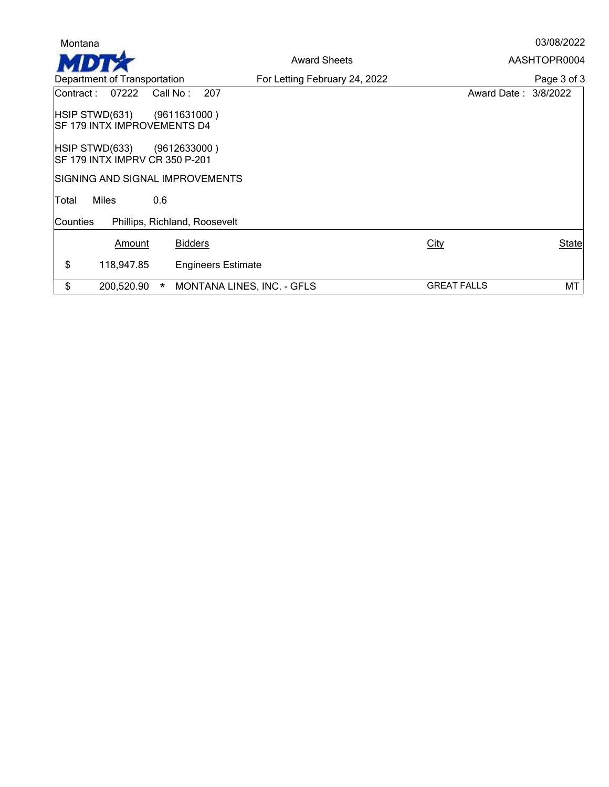| AASHTOPR0004<br><b>Award Sheets</b><br>Department of Transportation<br>For Letting February 24, 2022<br>207<br>Contract:<br>07222<br>Call No:<br>Award Date: 3/8/2022<br> HSIP STWD(631)<br>(9611631000)<br><b>SF 179 INTX IMPROVEMENTS D4</b><br> HSIP STWD(633)<br>(9612633000)<br><b>SF 179 INTX IMPRV CR 350 P-201</b><br>SIGNING AND SIGNAL IMPROVEMENTS<br><b>Miles</b><br>0.6<br>Total<br>Phillips, Richland, Roosevelt<br>lCounties l<br><b>Bidders</b><br>City<br>Amount<br>\$<br>118,947.85<br><b>Engineers Estimate</b><br>\$<br>200,520.90<br><b>GREAT FALLS</b><br><b>MONTANA LINES, INC. - GFLS</b><br>$\star$ | Montana |  | 03/08/2022   |
|------------------------------------------------------------------------------------------------------------------------------------------------------------------------------------------------------------------------------------------------------------------------------------------------------------------------------------------------------------------------------------------------------------------------------------------------------------------------------------------------------------------------------------------------------------------------------------------------------------------------------|---------|--|--------------|
|                                                                                                                                                                                                                                                                                                                                                                                                                                                                                                                                                                                                                              |         |  |              |
|                                                                                                                                                                                                                                                                                                                                                                                                                                                                                                                                                                                                                              |         |  | Page 3 of 3  |
|                                                                                                                                                                                                                                                                                                                                                                                                                                                                                                                                                                                                                              |         |  |              |
|                                                                                                                                                                                                                                                                                                                                                                                                                                                                                                                                                                                                                              |         |  |              |
|                                                                                                                                                                                                                                                                                                                                                                                                                                                                                                                                                                                                                              |         |  |              |
|                                                                                                                                                                                                                                                                                                                                                                                                                                                                                                                                                                                                                              |         |  |              |
|                                                                                                                                                                                                                                                                                                                                                                                                                                                                                                                                                                                                                              |         |  |              |
|                                                                                                                                                                                                                                                                                                                                                                                                                                                                                                                                                                                                                              |         |  |              |
|                                                                                                                                                                                                                                                                                                                                                                                                                                                                                                                                                                                                                              |         |  | <b>State</b> |
|                                                                                                                                                                                                                                                                                                                                                                                                                                                                                                                                                                                                                              |         |  |              |
|                                                                                                                                                                                                                                                                                                                                                                                                                                                                                                                                                                                                                              |         |  | MT           |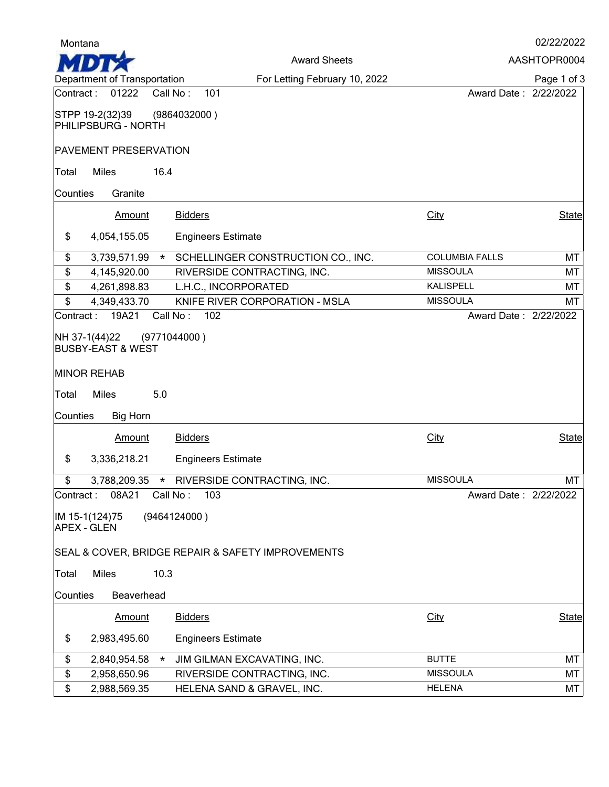| Montana         |                                                                                     |                                                   |                                          | 02/22/2022   |
|-----------------|-------------------------------------------------------------------------------------|---------------------------------------------------|------------------------------------------|--------------|
|                 |                                                                                     | <b>Award Sheets</b>                               |                                          | AASHTOPR0004 |
|                 | Department of Transportation                                                        | For Letting February 10, 2022                     |                                          | Page 1 of 3  |
| Contract :      | 01222                                                                               | Call No:<br>101                                   | Award Date: 2/22/2022                    |              |
|                 | STPP 19-2(32)39<br>PHILIPSBURG - NORTH                                              | (9864032000)                                      |                                          |              |
|                 | <b>PAVEMENT PRESERVATION</b>                                                        |                                                   |                                          |              |
| Total           | <b>Miles</b>                                                                        | 16.4                                              |                                          |              |
| Counties        | Granite                                                                             |                                                   |                                          |              |
|                 | <b>Amount</b>                                                                       | <b>Bidders</b>                                    | City                                     | <b>State</b> |
|                 |                                                                                     |                                                   |                                          |              |
| \$              | 4,054,155.05                                                                        | <b>Engineers Estimate</b>                         |                                          |              |
| \$              | 3,739,571.99                                                                        | SCHELLINGER CONSTRUCTION CO., INC.<br>$\star$     | <b>COLUMBIA FALLS</b>                    | MT           |
| \$              | 4,145,920.00                                                                        | RIVERSIDE CONTRACTING, INC.                       | <b>MISSOULA</b>                          | MT           |
| \$              | 4,261,898.83                                                                        | L.H.C., INCORPORATED                              | <b>KALISPELL</b>                         | MT           |
| \$<br>Contract: | 4,349,433.70<br>19A21                                                               | KNIFE RIVER CORPORATION - MSLA<br>Call No:<br>102 | <b>MISSOULA</b><br>Award Date: 2/22/2022 | МT           |
| Total           | NH 37-1(44)22<br><b>BUSBY-EAST &amp; WEST</b><br><b>MINOR REHAB</b><br><b>Miles</b> | (9771044000)<br>5.0                               |                                          |              |
| Counties        | <b>Big Horn</b>                                                                     |                                                   |                                          |              |
|                 | Amount                                                                              | <b>Bidders</b>                                    | City                                     | <b>State</b> |
| \$              | 3,336,218.21                                                                        | <b>Engineers Estimate</b>                         |                                          |              |
| \$              |                                                                                     | 3,788,209.35 * RIVERSIDE CONTRACTING, INC.        | <b>MISSOULA</b>                          | MT           |
| Contract :      | 08A21                                                                               | 103<br>Call No:                                   | Award Date: 2/22/2022                    |              |
|                 | IM 15-1(124)75<br><b>APEX - GLEN</b>                                                | (9464124000)                                      |                                          |              |
|                 |                                                                                     | SEAL & COVER, BRIDGE REPAIR & SAFETY IMPROVEMENTS |                                          |              |
| Total           | <b>Miles</b>                                                                        | 10.3                                              |                                          |              |
| Counties        | Beaverhead                                                                          |                                                   |                                          |              |
|                 | <b>Amount</b>                                                                       | <b>Bidders</b>                                    | City                                     | State        |
| \$              | 2,983,495.60                                                                        | <b>Engineers Estimate</b>                         |                                          |              |
| \$              | 2,840,954.58                                                                        | JIM GILMAN EXCAVATING, INC.<br>$\star$            | <b>BUTTE</b>                             | MT           |
| \$              | 2,958,650.96                                                                        | RIVERSIDE CONTRACTING, INC.                       | <b>MISSOULA</b>                          | MT           |
|                 |                                                                                     |                                                   |                                          |              |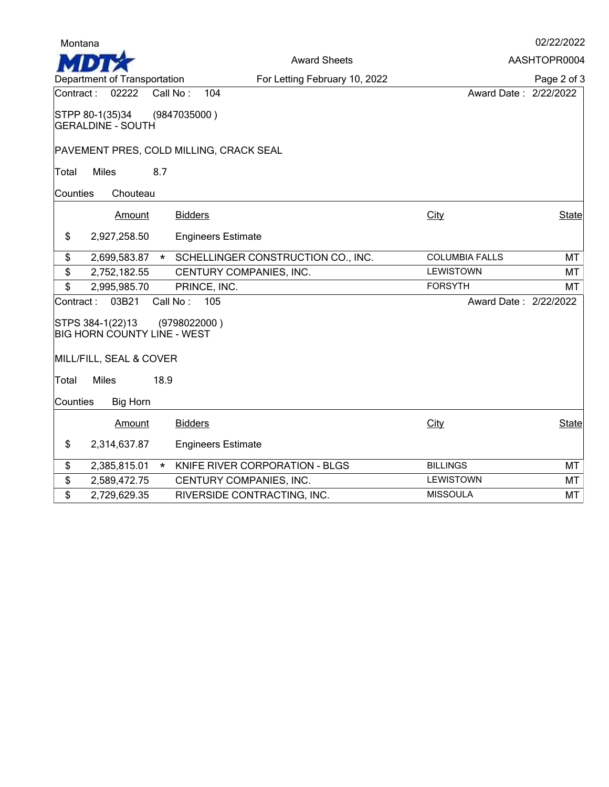| Montana   |                                                        |          |                                         |                       | 02/22/2022   |
|-----------|--------------------------------------------------------|----------|-----------------------------------------|-----------------------|--------------|
|           |                                                        |          | <b>Award Sheets</b>                     |                       | AASHTOPR0004 |
|           | Department of Transportation                           |          | For Letting February 10, 2022           |                       | Page 2 of 3  |
| Contract: | 02222                                                  | Call No: | 104                                     | Award Date: 2/22/2022 |              |
|           | STPP 80-1(35)34<br><b>GERALDINE - SOUTH</b>            |          | (9847035000)                            |                       |              |
|           |                                                        |          | PAVEMENT PRES, COLD MILLING, CRACK SEAL |                       |              |
| Total     | <b>Miles</b>                                           | 8.7      |                                         |                       |              |
| Counties  | Chouteau                                               |          |                                         |                       |              |
|           | Amount                                                 |          | <b>Bidders</b>                          | City                  | <b>State</b> |
| \$        | 2,927,258.50                                           |          | <b>Engineers Estimate</b>               |                       |              |
| \$        | 2,699,583.87                                           | $\star$  | SCHELLINGER CONSTRUCTION CO., INC.      | <b>COLUMBIA FALLS</b> | <b>MT</b>    |
| \$        | 2,752,182.55                                           |          | CENTURY COMPANIES, INC.                 | <b>LEWISTOWN</b>      | MT           |
| \$        | 2,995,985.70                                           |          | PRINCE, INC.                            | <b>FORSYTH</b>        | MT           |
| Contract: | 03B21                                                  | Call No: | 105                                     | Award Date: 2/22/2022 |              |
|           | STPS 384-1(22)13<br><b>BIG HORN COUNTY LINE - WEST</b> |          | (9798022000)                            |                       |              |
|           | MILL/FILL, SEAL & COVER                                |          |                                         |                       |              |
| Total     | <b>Miles</b>                                           | 18.9     |                                         |                       |              |
| Counties  | <b>Big Horn</b>                                        |          |                                         |                       |              |
|           | Amount                                                 |          | <b>Bidders</b>                          | City                  | <b>State</b> |
| \$        | 2,314,637.87                                           |          | <b>Engineers Estimate</b>               |                       |              |
| \$        | 2,385,815.01                                           | $\star$  | KNIFE RIVER CORPORATION - BLGS          | <b>BILLINGS</b>       | MT           |
| \$        | 2,589,472.75                                           |          | CENTURY COMPANIES, INC.                 | <b>LEWISTOWN</b>      | MT           |
| \$        | 2,729,629.35                                           |          | RIVERSIDE CONTRACTING, INC.             | <b>MISSOULA</b>       | MT           |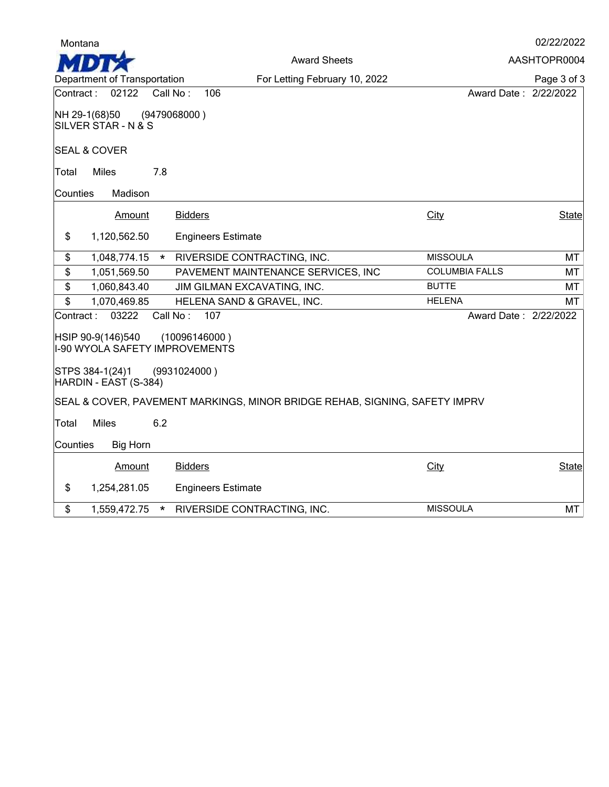| Montana   |                                                            |              |                                                                            |                       | 02/22/2022   |
|-----------|------------------------------------------------------------|--------------|----------------------------------------------------------------------------|-----------------------|--------------|
|           |                                                            |              | <b>Award Sheets</b>                                                        |                       | AASHTOPR0004 |
|           | Department of Transportation                               |              | For Letting February 10, 2022                                              |                       | Page 3 of 3  |
| Contract: | 02122                                                      | Call No:     | 106                                                                        | Award Date: 2/22/2022 |              |
|           | NH 29-1(68)50<br>SILVER STAR - N & S                       | (9479068000) |                                                                            |                       |              |
|           | <b>SEAL &amp; COVER</b>                                    |              |                                                                            |                       |              |
| Total     | <b>Miles</b>                                               | 7.8          |                                                                            |                       |              |
| Counties  | Madison                                                    |              |                                                                            |                       |              |
|           | Amount                                                     |              | <b>Bidders</b>                                                             | City                  | <b>State</b> |
| \$        | 1,120,562.50                                               |              | <b>Engineers Estimate</b>                                                  |                       |              |
| \$        | 1,048,774.15                                               |              | * RIVERSIDE CONTRACTING, INC.                                              | <b>MISSOULA</b>       | MT           |
| \$        | 1,051,569.50                                               |              | PAVEMENT MAINTENANCE SERVICES, INC                                         | <b>COLUMBIA FALLS</b> | MT           |
| \$        | 1,060,843.40                                               |              | JIM GILMAN EXCAVATING, INC.                                                | <b>BUTTE</b>          | MT           |
| \$        | 1,070,469.85                                               |              | HELENA SAND & GRAVEL, INC.                                                 | <b>HELENA</b>         | MT           |
| Contract: | 03222                                                      | Call No:     | 107                                                                        | Award Date: 2/22/2022 |              |
|           | HSIP 90-9(146)540<br><b>I-90 WYOLA SAFETY IMPROVEMENTS</b> |              | (10096146000)                                                              |                       |              |
|           | STPS 384-1(24)1<br>HARDIN - EAST (S-384)                   | (9931024000) |                                                                            |                       |              |
|           |                                                            |              | SEAL & COVER, PAVEMENT MARKINGS, MINOR BRIDGE REHAB, SIGNING, SAFETY IMPRV |                       |              |
| Total     | <b>Miles</b>                                               | 6.2          |                                                                            |                       |              |
| Counties  | <b>Big Horn</b>                                            |              |                                                                            |                       |              |
|           | Amount                                                     |              | <b>Bidders</b>                                                             | City                  | <b>State</b> |
| \$        | 1,254,281.05                                               |              | <b>Engineers Estimate</b>                                                  |                       |              |
| \$        | 1,559,472.75                                               | $\star$      | RIVERSIDE CONTRACTING, INC.                                                | <b>MISSOULA</b>       | MT           |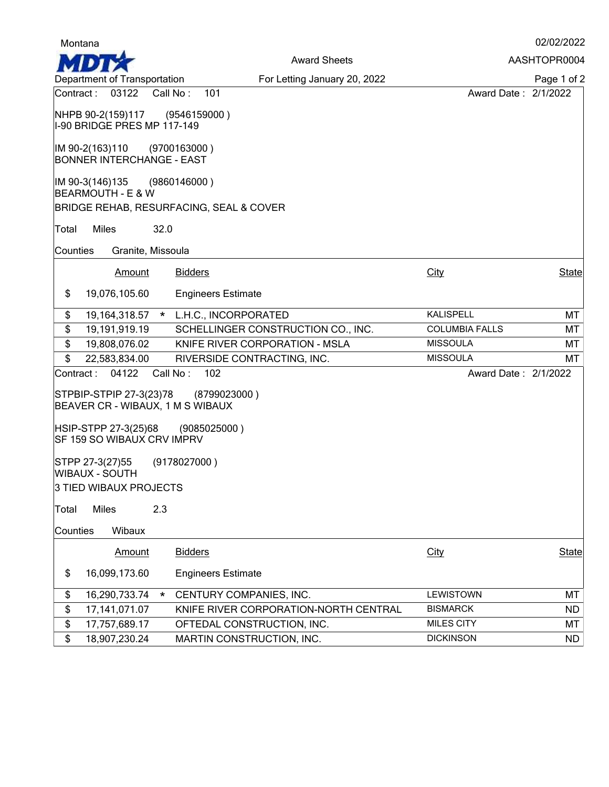| Montana                                                       |                                       |                       | 02/02/2022   |
|---------------------------------------------------------------|---------------------------------------|-----------------------|--------------|
|                                                               | <b>Award Sheets</b>                   |                       | AASHTOPR0004 |
| Department of Transportation                                  | For Letting January 20, 2022          |                       | Page 1 of 2  |
| 03122<br>Contract:                                            | Call No:<br>101                       | Award Date: 2/1/2022  |              |
| NHPB 90-2(159)117 (9546159000)<br>I-90 BRIDGE PRES MP 117-149 |                                       |                       |              |
| IM 90-2(163)110<br><b>BONNER INTERCHANGE - EAST</b>           | (9700163000 )                         |                       |              |
| IM 90-3(146)135 (9860146000)<br><b>BEARMOUTH - E &amp; W</b>  |                                       |                       |              |
| BRIDGE REHAB, RESURFACING, SEAL & COVER                       |                                       |                       |              |
| <b>Miles</b><br>32.0<br>Total                                 |                                       |                       |              |
| Counties<br>Granite, Missoula                                 |                                       |                       |              |
| Amount                                                        | <b>Bidders</b>                        | City                  | <b>State</b> |
|                                                               |                                       |                       |              |
| \$<br>19,076,105.60                                           | <b>Engineers Estimate</b>             |                       |              |
| \$<br>19, 164, 318.57                                         | * L.H.C., INCORPORATED                | <b>KALISPELL</b>      | МT           |
| \$<br>19,191,919.19                                           | SCHELLINGER CONSTRUCTION CO., INC.    | <b>COLUMBIA FALLS</b> | MT           |
| \$<br>19,808,076.02                                           | KNIFE RIVER CORPORATION - MSLA        | <b>MISSOULA</b>       | MT           |
| \$<br>22,583,834.00                                           | RIVERSIDE CONTRACTING, INC.           | <b>MISSOULA</b>       | МT           |
| 04122<br>Contract:                                            | 102<br>Call No:                       | Award Date: 2/1/2022  |              |
| STPBIP-STPIP 27-3(23)78<br>BEAVER CR - WIBAUX, 1 M S WIBAUX   | (8799023000)                          |                       |              |
| HSIP-STPP 27-3(25)68<br><b>SF 159 SO WIBAUX CRV IMPRV</b>     | (9085025000)                          |                       |              |
| STPP 27-3(27)55<br>WIBAUX - SOUTH                             | (9178027000)                          |                       |              |
| 3 TIED WIBAUX PROJECTS                                        |                                       |                       |              |
| Miles<br>2.3<br><b>Total</b>                                  |                                       |                       |              |
| Wibaux<br>Counties                                            |                                       |                       |              |
| Amount                                                        | <b>Bidders</b>                        | City                  | State        |
| \$<br>16,099,173.60                                           | <b>Engineers Estimate</b>             |                       |              |
| \$<br>16,290,733.74<br>$\star$                                | CENTURY COMPANIES, INC.               | LEWISTOWN             | MT           |
| \$<br>17,141,071.07                                           | KNIFE RIVER CORPORATION-NORTH CENTRAL | <b>BISMARCK</b>       | ND.          |
| \$<br>17,757,689.17                                           | OFTEDAL CONSTRUCTION, INC.            | MILES CITY            | МT           |
| $\overline{\mathfrak{s}}$<br>18,907,230.24                    | MARTIN CONSTRUCTION, INC.             | <b>DICKINSON</b>      | <b>ND</b>    |